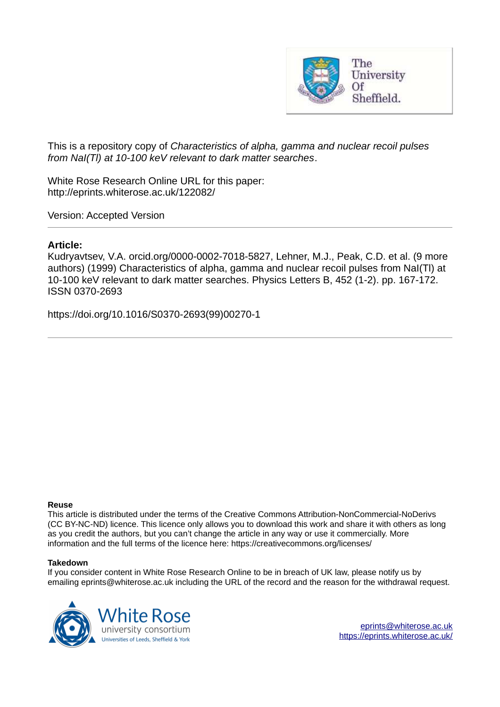

This is a repository copy of *Characteristics of alpha, gamma and nuclear recoil pulses from NaI(Tl) at 10-100 keV relevant to dark matter searches*.

White Rose Research Online URL for this paper: http://eprints.whiterose.ac.uk/122082/

Version: Accepted Version

#### **Article:**

Kudryavtsev, V.A. orcid.org/0000-0002-7018-5827, Lehner, M.J., Peak, C.D. et al. (9 more authors) (1999) Characteristics of alpha, gamma and nuclear recoil pulses from NaI(Tl) at 10-100 keV relevant to dark matter searches. Physics Letters B, 452 (1-2). pp. 167-172. ISSN 0370-2693

https://doi.org/10.1016/S0370-2693(99)00270-1

#### **Reuse**

This article is distributed under the terms of the Creative Commons Attribution-NonCommercial-NoDerivs (CC BY-NC-ND) licence. This licence only allows you to download this work and share it with others as long as you credit the authors, but you can't change the article in any way or use it commercially. More information and the full terms of the licence here: https://creativecommons.org/licenses/

#### **Takedown**

If you consider content in White Rose Research Online to be in breach of UK law, please notify us by emailing eprints@whiterose.ac.uk including the URL of the record and the reason for the withdrawal request.

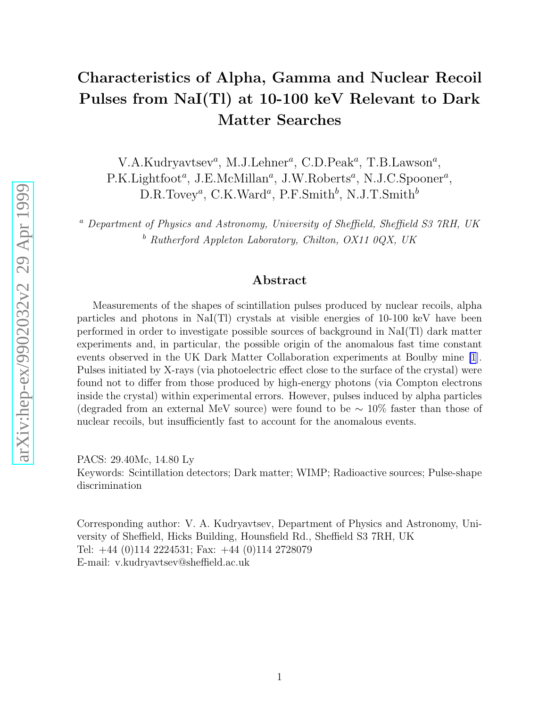# Characteristics of Alpha, Gamma and Nuclear Recoil Pulses from NaI(Tl) at 10-100 keV Relevant to Dark Matter Searches

V.A.Kudryavtsev<sup>a</sup>, M.J.Lehner<sup>a</sup>, C.D.Peak<sup>a</sup>, T.B.Lawson<sup>a</sup>, P.K.Lightfoot<sup>a</sup>, J.E.McMillan<sup>a</sup>, J.W.Roberts<sup>a</sup>, N.J.C.Spooner<sup>a</sup>,  $D.R.Tovey<sup>a</sup>, C.K.Ward<sup>a</sup>, P.F.Smith<sup>b</sup>, N.J.T.Smith<sup>b</sup>$ 

<sup>a</sup> Department of Physics and Astronomy, University of Sheffield, Sheffield S3 7RH, UK  $b$  Rutherford Appleton Laboratory, Chilton, OX11 0QX, UK

## Abstract

Measurements of the shapes of scintillation pulses produced by nuclear recoils, alpha particles and photons in NaI(Tl) crystals at visible energies of 10-100 keV have been performed in order to investigate possible sources of background in NaI(Tl) dark matter experiments and, in particular, the possible origin of the anomalous fast time constant events observed in the UK Dark Matter Collaboration experiments at Boulby mine [\[1](#page-5-0)]. Pulses initiated by X-rays (via photoelectric effect close to the surface of the crystal) were found not to differ from those produced by high-energy photons (via Compton electrons inside the crystal) within experimental errors. However, pulses induced by alpha particles (degraded from an external MeV source) were found to be ∼ 10% faster than those of nuclear recoils, but insufficiently fast to account for the anomalous events.

PACS: 29.40Mc, 14.80 Ly Keywords: Scintillation detectors; Dark matter; WIMP; Radioactive sources; Pulse-shape discrimination

Corresponding author: V. A. Kudryavtsev, Department of Physics and Astronomy, University of Sheffield, Hicks Building, Hounsfield Rd., Sheffield S3 7RH, UK Tel: +44 (0)114 2224531; Fax: +44 (0)114 2728079 E-mail: v.kudryavtsev@sheffield.ac.uk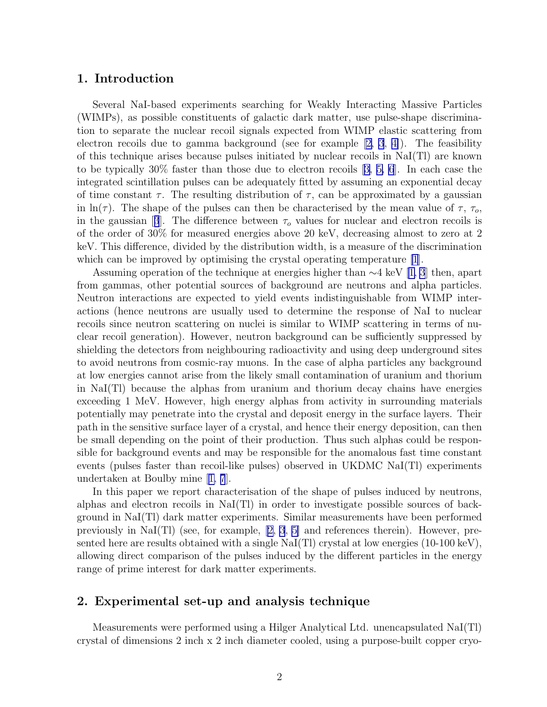### 1. Introduction

Several NaI-based experiments searching for Weakly Interacting Massive Particles (WIMPs), as possible constituents of galactic dark matter, use pulse-shape discrimination to separate the nuclear recoil signals expected from WIMP elastic scattering from electron recoils due to gamma background (see for example [\[2, 3](#page-5-0), [4\]](#page-5-0)). The feasibility of this technique arises because pulses initiated by nuclear recoils in NaI(Tl) are known to be typically 30% faster than those due to electron recoils [\[3, 5, 6](#page-5-0)]. In each case the integrated scintillation pulses can be adequately fitted by assuming an exponential decay of time constant  $\tau$ . The resulting distribution of  $\tau$ , can be approximated by a gaussian in ln(τ). The shape of the pulses can then be characterised by the mean value of  $\tau$ ,  $\tau_o$ , inthe gaussian [[3](#page-5-0)]. The difference between  $\tau_o$  values for nuclear and electron recoils is of the order of 30% for measured energies above 20 keV, decreasing almost to zero at 2 keV. This difference, divided by the distribution width, is a measure of the discrimination which can be improved by optimising the crystal operating temperature [\[1](#page-5-0)].

Assuming operation of the technique at energies higher than ∼4 keV[[1, 3](#page-5-0)] then, apart from gammas, other potential sources of background are neutrons and alpha particles. Neutron interactions are expected to yield events indistinguishable from WIMP interactions (hence neutrons are usually used to determine the response of NaI to nuclear recoils since neutron scattering on nuclei is similar to WIMP scattering in terms of nuclear recoil generation). However, neutron background can be sufficiently suppressed by shielding the detectors from neighbouring radioactivity and using deep underground sites to avoid neutrons from cosmic-ray muons. In the case of alpha particles any background at low energies cannot arise from the likely small contamination of uranium and thorium in NaI(Tl) because the alphas from uranium and thorium decay chains have energies exceeding 1 MeV. However, high energy alphas from activity in surrounding materials potentially may penetrate into the crystal and deposit energy in the surface layers. Their path in the sensitive surface layer of a crystal, and hence their energy deposition, can then be small depending on the point of their production. Thus such alphas could be responsible for background events and may be responsible for the anomalous fast time constant events (pulses faster than recoil-like pulses) observed in UKDMC NaI(Tl) experiments undertaken at Boulby mine[[1, 7](#page-5-0)].

In this paper we report characterisation of the shape of pulses induced by neutrons, alphas and electron recoils in NaI(Tl) in order to investigate possible sources of background in NaI(Tl) dark matter experiments. Similar measurements have been performed previouslyin  $\text{Na}(T)$  (see, for example, [[2, 3](#page-5-0), [5\]](#page-5-0) and references therein). However, presented here are results obtained with a single  $\text{NaI(Tl)}$  crystal at low energies (10-100 keV), allowing direct comparison of the pulses induced by the different particles in the energy range of prime interest for dark matter experiments.

#### 2. Experimental set-up and analysis technique

Measurements were performed using a Hilger Analytical Ltd. unencapsulated NaI(Tl) crystal of dimensions 2 inch x 2 inch diameter cooled, using a purpose-built copper cryo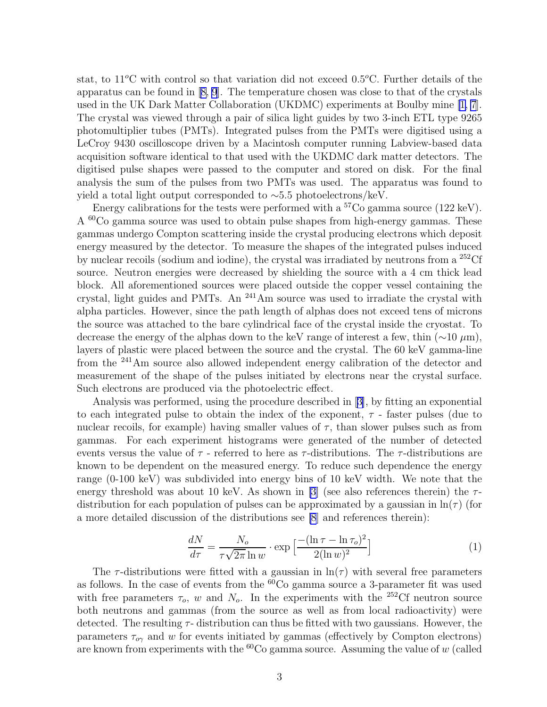stat, to 11<sup>o</sup>C with control so that variation did not exceed 0.5<sup>o</sup>C. Further details of the apparatus can be found in[[8, 9](#page-5-0)]. The temperature chosen was close to that of the crystals used in the UK Dark Matter Collaboration (UKDMC) experiments at Boulby mine[[1, 7](#page-5-0)]. The crystal was viewed through a pair of silica light guides by two 3-inch ETL type 9265 photomultiplier tubes (PMTs). Integrated pulses from the PMTs were digitised using a LeCroy 9430 oscilloscope driven by a Macintosh computer running Labview-based data acquisition software identical to that used with the UKDMC dark matter detectors. The digitised pulse shapes were passed to the computer and stored on disk. For the final analysis the sum of the pulses from two PMTs was used. The apparatus was found to yield a total light output corresponded to ∼5.5 photoelectrons/keV.

Energy calibrations for the tests were performed with a  ${}^{57}Co$  gamma source (122 keV). A <sup>60</sup>Co gamma source was used to obtain pulse shapes from high-energy gammas. These gammas undergo Compton scattering inside the crystal producing electrons which deposit energy measured by the detector. To measure the shapes of the integrated pulses induced by nuclear recoils (sodium and iodine), the crystal was irradiated by neutrons from a <sup>252</sup>Cf source. Neutron energies were decreased by shielding the source with a 4 cm thick lead block. All aforementioned sources were placed outside the copper vessel containing the crystal, light guides and PMTs. An <sup>241</sup>Am source was used to irradiate the crystal with alpha particles. However, since the path length of alphas does not exceed tens of microns the source was attached to the bare cylindrical face of the crystal inside the cryostat. To decrease the energy of the alphas down to the keV range of interest a few, thin  $(\sim 10 \ \mu m)$ , layers of plastic were placed between the source and the crystal. The 60 keV gamma-line from the <sup>241</sup>Am source also allowed independent energy calibration of the detector and measurement of the shape of the pulses initiated by electrons near the crystal surface. Such electrons are produced via the photoelectric effect.

Analysis was performed, using the procedure described in[[3\]](#page-5-0), by fitting an exponential to each integrated pulse to obtain the index of the exponent,  $\tau$  - faster pulses (due to nuclear recoils, for example) having smaller values of  $\tau$ , than slower pulses such as from gammas. For each experiment histograms were generated of the number of detected events versus the value of  $\tau$  - referred to here as  $\tau$ -distributions. The  $\tau$ -distributions are known to be dependent on the measured energy. To reduce such dependence the energy range (0-100 keV) was subdivided into energy bins of 10 keV width. We note that the energy threshold was about 10 keV. As shown in [\[3](#page-5-0)] (see also references therein) the  $\tau$ distribution for each population of pulses can be approximated by a gaussian in  $\ln(\tau)$  (for a more detailed discussion of the distributions see [\[8](#page-5-0)] and references therein):

$$
\frac{dN}{d\tau} = \frac{N_o}{\tau\sqrt{2\pi}\ln w} \cdot \exp\left[\frac{-(\ln \tau - \ln \tau_o)^2}{2(\ln w)^2}\right] \tag{1}
$$

The  $\tau$ -distributions were fitted with a gaussian in  $\ln(\tau)$  with several free parameters as follows. In the case of events from the  ${}^{60}Co$  gamma source a 3-parameter fit was used with free parameters  $\tau_o$ , w and  $N_o$ . In the experiments with the <sup>252</sup>Cf neutron source both neutrons and gammas (from the source as well as from local radioactivity) were detected. The resulting  $\tau$ - distribution can thus be fitted with two gaussians. However, the parameters  $\tau_{o\gamma}$  and w for events initiated by gammas (effectively by Compton electrons) are known from experiments with the  ${}^{60}Co$  gamma source. Assuming the value of w (called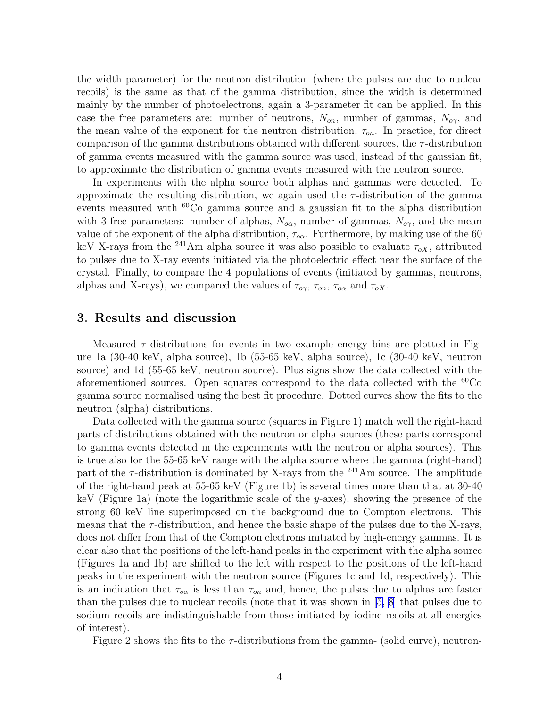the width parameter) for the neutron distribution (where the pulses are due to nuclear recoils) is the same as that of the gamma distribution, since the width is determined mainly by the number of photoelectrons, again a 3-parameter fit can be applied. In this case the free parameters are: number of neutrons,  $N_{on}$ , number of gammas,  $N_{or}$ , and the mean value of the exponent for the neutron distribution,  $\tau_{on}$ . In practice, for direct comparison of the gamma distributions obtained with different sources, the  $\tau$ -distribution of gamma events measured with the gamma source was used, instead of the gaussian fit, to approximate the distribution of gamma events measured with the neutron source.

In experiments with the alpha source both alphas and gammas were detected. To approximate the resulting distribution, we again used the  $\tau$ -distribution of the gamma events measured with  ${}^{60}Co$  gamma source and a gaussian fit to the alpha distribution with 3 free parameters: number of alphas,  $N_{\alpha\alpha}$ , number of gammas,  $N_{\alpha\gamma}$ , and the mean value of the exponent of the alpha distribution,  $\tau_{\alpha\alpha}$ . Furthermore, by making use of the 60 keV X-rays from the <sup>241</sup>Am alpha source it was also possible to evaluate  $\tau_{oX}$ , attributed to pulses due to X-ray events initiated via the photoelectric effect near the surface of the crystal. Finally, to compare the 4 populations of events (initiated by gammas, neutrons, alphas and X-rays), we compared the values of  $\tau_{\alpha\gamma}$ ,  $\tau_{\alpha\alpha}$ , and  $\tau_{\alpha X}$ .

#### 3. Results and discussion

Measured  $\tau$ -distributions for events in two example energy bins are plotted in Figure 1a (30-40 keV, alpha source), 1b (55-65 keV, alpha source), 1c (30-40 keV, neutron source) and 1d (55-65 keV, neutron source). Plus signs show the data collected with the aforementioned sources. Open squares correspond to the data collected with the  ${}^{60}Co$ gamma source normalised using the best fit procedure. Dotted curves show the fits to the neutron (alpha) distributions.

Data collected with the gamma source (squares in Figure 1) match well the right-hand parts of distributions obtained with the neutron or alpha sources (these parts correspond to gamma events detected in the experiments with the neutron or alpha sources). This is true also for the 55-65 keV range with the alpha source where the gamma (right-hand) part of the  $\tau$ -distribution is dominated by X-rays from the <sup>241</sup>Am source. The amplitude of the right-hand peak at 55-65 keV (Figure 1b) is several times more than that at 30-40 keV (Figure 1a) (note the logarithmic scale of the y-axes), showing the presence of the strong 60 keV line superimposed on the background due to Compton electrons. This means that the  $\tau$ -distribution, and hence the basic shape of the pulses due to the X-rays, does not differ from that of the Compton electrons initiated by high-energy gammas. It is clear also that the positions of the left-hand peaks in the experiment with the alpha source (Figures 1a and 1b) are shifted to the left with respect to the positions of the left-hand peaks in the experiment with the neutron source (Figures 1c and 1d, respectively). This is an indication that  $\tau_{\alpha}$  is less than  $\tau_{\alpha}$  and, hence, the pulses due to alphas are faster than the pulses due to nuclear recoils (note that it was shown in[[5, 8\]](#page-5-0) that pulses due to sodium recoils are indistinguishable from those initiated by iodine recoils at all energies of interest).

Figure 2 shows the fits to the  $\tau$ -distributions from the gamma- (solid curve), neutron-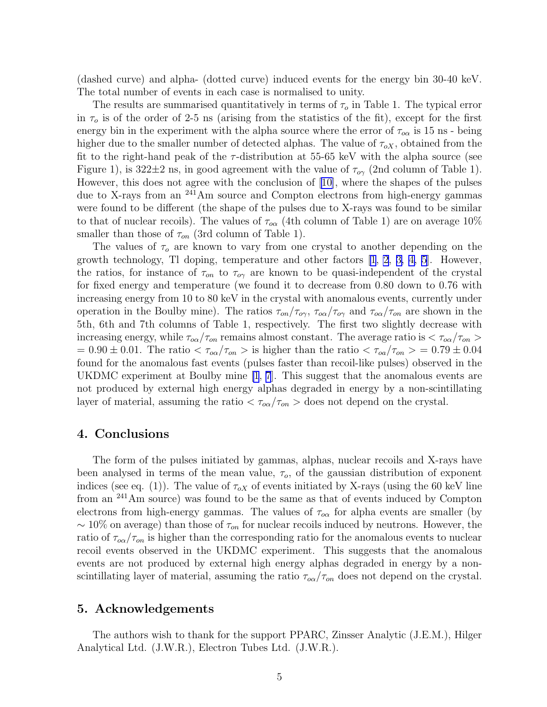<span id="page-5-0"></span>(dashed curve) and alpha- (dotted curve) induced events for the energy bin 30-40 keV. The total number of events in each case is normalised to unity.

The results are summarised quantitatively in terms of  $\tau_o$  in Table 1. The typical error in  $\tau_o$  is of the order of 2-5 ns (arising from the statistics of the fit), except for the first energy bin in the experiment with the alpha source where the error of  $\tau_{\alpha}$  is 15 ns - being higher due to the smaller number of detected alphas. The value of  $\tau_{\alpha X}$ , obtained from the fit to the right-hand peak of the  $\tau$ -distribution at 55-65 keV with the alpha source (see Figure 1), is  $322\pm2$  ns, in good agreement with the value of  $\tau_{\alpha\gamma}$  (2nd column of Table 1). However, this does not agree with the conclusion of [10], where the shapes of the pulses due to X-rays from an <sup>241</sup>Am source and Compton electrons from high-energy gammas were found to be different (the shape of the pulses due to X-rays was found to be similar to that of nuclear recoils). The values of  $\tau_{\alpha\alpha}$  (4th column of Table 1) are on average 10% smaller than those of  $\tau_{on}$  (3rd column of Table 1).

The values of  $\tau_o$  are known to vary from one crystal to another depending on the growth technology, Tl doping, temperature and other factors [1, 2, 3, 4, 5]. However, the ratios, for instance of  $\tau_{on}$  to  $\tau_{o\gamma}$  are known to be quasi-independent of the crystal for fixed energy and temperature (we found it to decrease from 0.80 down to 0.76 with increasing energy from 10 to 80 keV in the crystal with anomalous events, currently under operation in the Boulby mine). The ratios  $\tau_{on}/\tau_{on}$ ,  $\tau_{on}/\tau_{on}$  and  $\tau_{on}/\tau_{on}$  are shown in the 5th, 6th and 7th columns of Table 1, respectively. The first two slightly decrease with increasing energy, while  $\tau_{\alpha\alpha}/\tau_{\alpha n}$  remains almost constant. The average ratio is  $\langle \tau_{\alpha\alpha}/\tau_{\alpha n} \rangle$  $= 0.90 \pm 0.01$ . The ratio  $< \tau_{\text{oa}}/\tau_{\text{on}} >$  is higher than the ratio  $< \tau_{\text{oa}}/\tau_{\text{on}} > 0.79 \pm 0.04$ found for the anomalous fast events (pulses faster than recoil-like pulses) observed in the UKDMC experiment at Boulby mine [1, 7]. This suggest that the anomalous events are not produced by external high energy alphas degraded in energy by a non-scintillating layer of material, assuming the ratio  $\langle \tau_{\alpha\alpha}/\tau_{\alpha\alpha} \rangle$  does not depend on the crystal.

#### 4. Conclusions

The form of the pulses initiated by gammas, alphas, nuclear recoils and X-rays have been analysed in terms of the mean value,  $\tau_o$ , of the gaussian distribution of exponent indices (see eq. (1)). The value of  $\tau_{oX}$  of events initiated by X-rays (using the 60 keV line from an <sup>241</sup>Am source) was found to be the same as that of events induced by Compton electrons from high-energy gammas. The values of  $\tau_{\alpha\alpha}$  for alpha events are smaller (by  $\sim 10\%$  on average) than those of  $\tau_{on}$  for nuclear recoils induced by neutrons. However, the ratio of  $\tau_{\alpha\alpha}/\tau_{\alpha n}$  is higher than the corresponding ratio for the anomalous events to nuclear recoil events observed in the UKDMC experiment. This suggests that the anomalous events are not produced by external high energy alphas degraded in energy by a nonscintillating layer of material, assuming the ratio  $\tau_{\alpha}/\tau_{\alpha}$  does not depend on the crystal.

#### 5. Acknowledgements

The authors wish to thank for the support PPARC, Zinsser Analytic (J.E.M.), Hilger Analytical Ltd. (J.W.R.), Electron Tubes Ltd. (J.W.R.).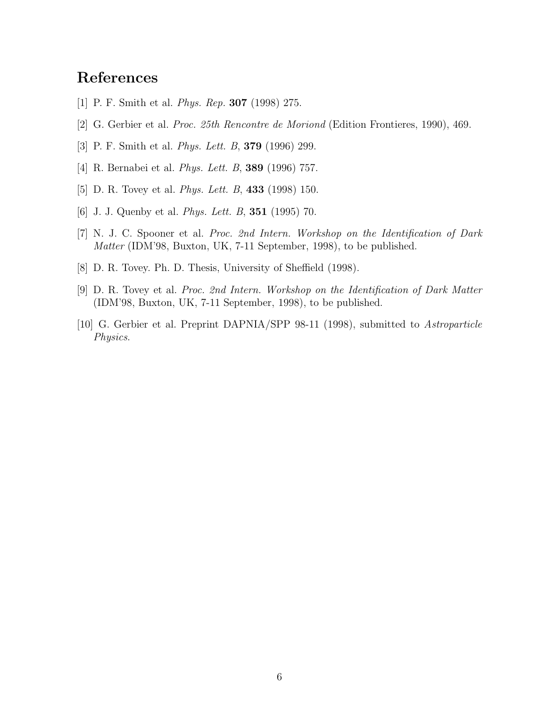# References

- [1] P. F. Smith et al. Phys. Rep. 307 (1998) 275.
- [2] G. Gerbier et al. Proc. 25th Rencontre de Moriond (Edition Frontieres, 1990), 469.
- [3] P. F. Smith et al. Phys. Lett. B, 379 (1996) 299.
- [4] R. Bernabei et al. Phys. Lett. B, 389 (1996) 757.
- [5] D. R. Tovey et al. Phys. Lett. B, 433 (1998) 150.
- [6] J. J. Quenby et al. Phys. Lett. B, 351 (1995) 70.
- [7] N. J. C. Spooner et al. Proc. 2nd Intern. Workshop on the Identification of Dark Matter (IDM'98, Buxton, UK, 7-11 September, 1998), to be published.
- [8] D. R. Tovey. Ph. D. Thesis, University of Sheffield (1998).
- [9] D. R. Tovey et al. Proc. 2nd Intern. Workshop on the Identification of Dark Matter (IDM'98, Buxton, UK, 7-11 September, 1998), to be published.
- [10] G. Gerbier et al. Preprint DAPNIA/SPP 98-11 (1998), submitted to Astroparticle Physics.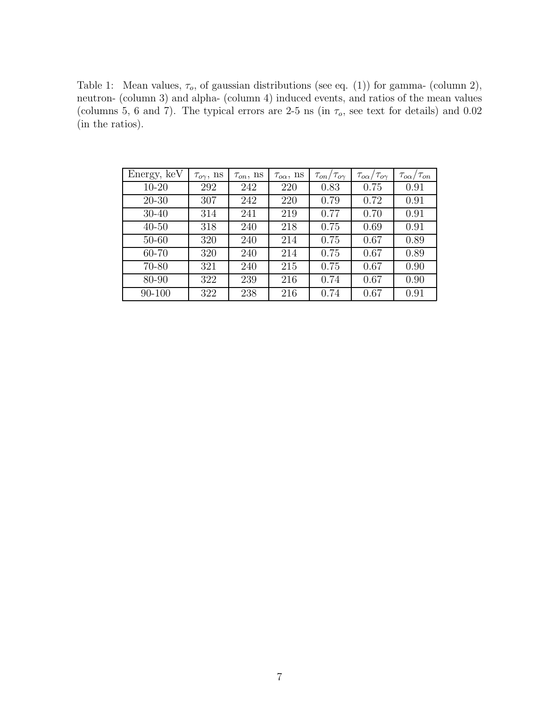Table 1: Mean values,  $\tau_o$ , of gaussian distributions (see eq. (1)) for gamma- (column 2), neutron- (column 3) and alpha- (column 4) induced events, and ratios of the mean values (columns 5, 6 and 7). The typical errors are 2-5 ns (in  $\tau_o$ , see text for details) and 0.02 (in the ratios).

| Energy, keV | $\tau_{o\gamma}$ , ns | $\tau_{on}$ , ns | $\tau_{o\alpha}$ , ns | $\tau_{on}/\tau_{o\gamma}$ | $\tau_{o\alpha}/\tau_{o\gamma}$ | $\tau_{o\alpha}/\tau_{on}$ |
|-------------|-----------------------|------------------|-----------------------|----------------------------|---------------------------------|----------------------------|
| $10 - 20$   | 292                   | 242              | 220                   | 0.83                       | 0.75                            | 0.91                       |
| $20 - 30$   | 307                   | 242              | 220                   | 0.79                       | 0.72                            | 0.91                       |
| $30 - 40$   | 314                   | 241              | 219                   | 0.77                       | 0.70                            | 0.91                       |
| $40 - 50$   | 318                   | 240              | 218                   | 0.75                       | 0.69                            | 0.91                       |
| $50 - 60$   | 320                   | 240              | 214                   | 0.75                       | 0.67                            | 0.89                       |
| 60-70       | 320                   | 240              | 214                   | 0.75                       | 0.67                            | 0.89                       |
| 70-80       | 321                   | 240              | 215                   | 0.75                       | 0.67                            | 0.90                       |
| 80-90       | 322                   | 239              | 216                   | 0.74                       | 0.67                            | 0.90                       |
| 90-100      | 322                   | 238              | 216                   | 0.74                       | 0.67                            | 0.91                       |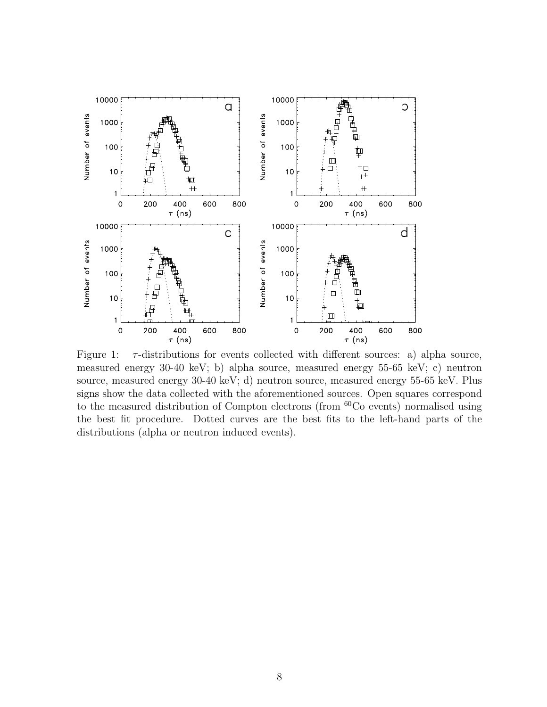

Figure 1:  $\tau$ -distributions for events collected with different sources: a) alpha source, measured energy 30-40 keV; b) alpha source, measured energy 55-65 keV; c) neutron source, measured energy 30-40 keV; d) neutron source, measured energy 55-65 keV. Plus signs show the data collected with the aforementioned sources. Open squares correspond to the measured distribution of Compton electrons (from <sup>60</sup>Co events) normalised using the best fit procedure. Dotted curves are the best fits to the left-hand parts of the distributions (alpha or neutron induced events).